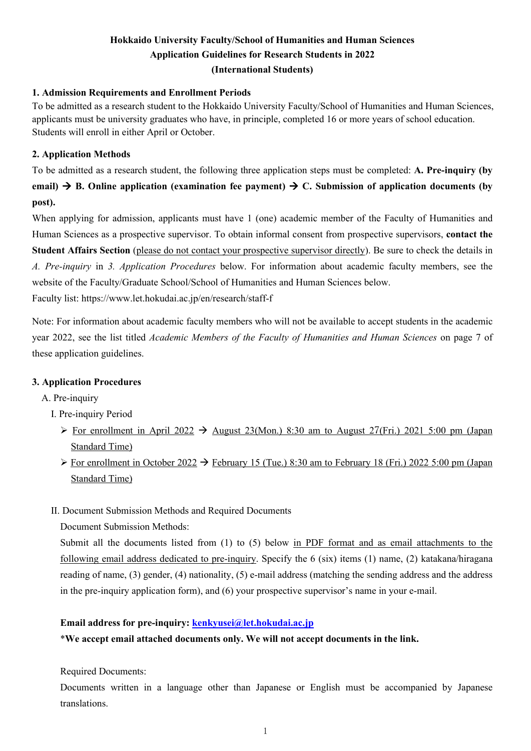## **Hokkaido University Faculty/School of Humanities and Human Sciences Application Guidelines for Research Students in 2022 (International Students)**

### **1. Admission Requirements and Enrollment Periods**

To be admitted as a research student to the Hokkaido University Faculty/School of Humanities and Human Sciences, applicants must be university graduates who have, in principle, completed 16 or more years of school education. Students will enroll in either April or October.

### **2. Application Methods**

To be admitted as a research student, the following three application steps must be completed: **A. Pre-inquiry (by email)**  $\rightarrow$  **B.** Online application (examination fee payment)  $\rightarrow$  C. Submission of application documents (by **post).**

When applying for admission, applicants must have 1 (one) academic member of the Faculty of Humanities and Human Sciences as a prospective supervisor. To obtain informal consent from prospective supervisors, **contact the Student Affairs Section** (please do not contact your prospective supervisor directly). Be sure to check the details in *A. Pre-inquiry* in *3. Application Procedures* below. For information about academic faculty members, see the website of the Faculty/Graduate School/School of Humanities and Human Sciences below.

Faculty list: https://www.let.hokudai.ac.jp/en/research/staff-f

Note: For information about academic faculty members who will not be available to accept students in the academic year 2022, see the list titled *Academic Members of the Faculty of Humanities and Human Sciences* on page 7 of these application guidelines.

## **3. Application Procedures**

- A. Pre-inquiry
	- I. Pre-inquiry Period
		- For enrollment in April 2022  $\rightarrow$  August 23(Mon.) 8:30 am to August 27(Fri.) 2021 5:00 pm (Japan Standard Time)
		- $\triangleright$  For enrollment in October 2022  $\rightarrow$  February 15 (Tue.) 8:30 am to February 18 (Fri.) 2022 5:00 pm (Japan Standard Time)
	- II. Document Submission Methods and Required Documents

Document Submission Methods:

Submit all the documents listed from (1) to (5) below in PDF format and as email attachments to the following email address dedicated to pre-inquiry. Specify the 6 (six) items (1) name, (2) katakana/hiragana reading of name, (3) gender, (4) nationality, (5) e-mail address (matching the sending address and the address in the pre-inquiry application form), and (6) your prospective supervisor's name in your e-mail.

#### **Email address for pre-inquiry: [kenkyusei@let.hokudai.ac.jp](mailto:kenkyusei@let.hokudai.ac.jp)**

\***We accept email attached documents only. We will not accept documents in the link.** 

Required Documents:

Documents written in a language other than Japanese or English must be accompanied by Japanese translations.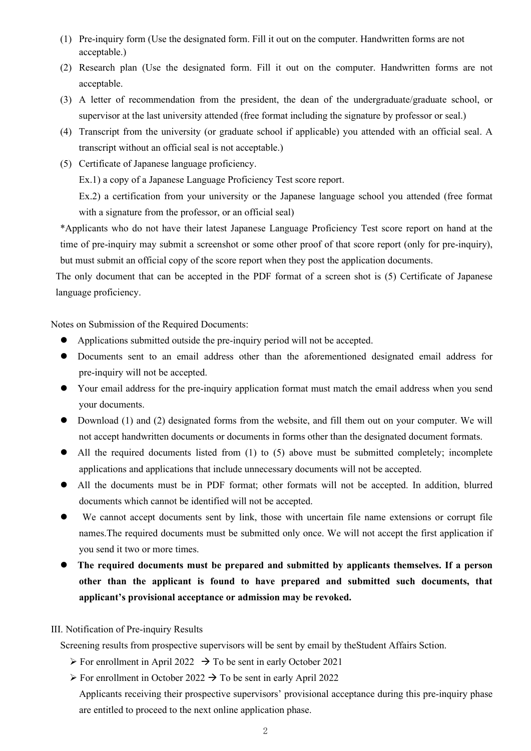- (1) Pre-inquiry form (Use the designated form. Fill it out on the computer. Handwritten forms are not acceptable.)
- (2) Research plan (Use the designated form. Fill it out on the computer. Handwritten forms are not acceptable.
- (3) A letter of recommendation from the president, the dean of the undergraduate/graduate school, or supervisor at the last university attended (free format including the signature by professor or seal.)
- (4) Transcript from the university (or graduate school if applicable) you attended with an official seal. A transcript without an official seal is not acceptable.)
- (5) Certificate of Japanese language proficiency.

Ex.1) a copy of a Japanese Language Proficiency Test score report.

Ex.2) a certification from your university or the Japanese language school you attended (free format with a signature from the professor, or an official seal)

\*Applicants who do not have their latest Japanese Language Proficiency Test score report on hand at the time of pre-inquiry may submit a screenshot or some other proof of that score report (only for pre-inquiry), but must submit an official copy of the score report when they post the application documents.

The only document that can be accepted in the PDF format of a screen shot is (5) Certificate of Japanese language proficiency.

Notes on Submission of the Required Documents:

- Applications submitted outside the pre-inquiry period will not be accepted.
- Documents sent to an email address other than the aforementioned designated email address for pre-inquiry will not be accepted.
- Your email address for the pre-inquiry application format must match the email address when you send your documents.
- Download (1) and (2) designated forms from the website, and fill them out on your computer. We will not accept handwritten documents or documents in forms other than the designated document formats.
- All the required documents listed from (1) to (5) above must be submitted completely; incomplete applications and applications that include unnecessary documents will not be accepted.
- All the documents must be in PDF format; other formats will not be accepted. In addition, blurred documents which cannot be identified will not be accepted.
- We cannot accept documents sent by link, those with uncertain file name extensions or corrupt file names.The required documents must be submitted only once. We will not accept the first application if you send it two or more times.
- **The required documents must be prepared and submitted by applicants themselves. If a person other than the applicant is found to have prepared and submitted such documents, that applicant's provisional acceptance or admission may be revoked.**

#### III. Notification of Pre-inquiry Results

Screening results from prospective supervisors will be sent by email by theStudent Affairs Sction.

- $\triangleright$  For enrollment in April 2022  $\rightarrow$  To be sent in early October 2021
- $\triangleright$  For enrollment in October 2022  $\rightarrow$  To be sent in early April 2022

Applicants receiving their prospective supervisors' provisional acceptance during this pre-inquiry phase are entitled to proceed to the next online application phase.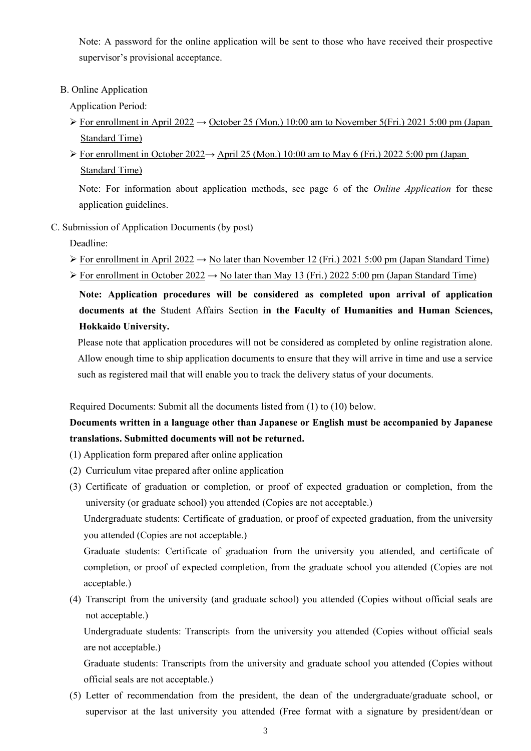Note: A password for the online application will be sent to those who have received their prospective supervisor's provisional acceptance.

B. Online Application

Application Period:

- For enrollment in April 2022  $\rightarrow$  October 25 (Mon.) 10:00 am to November 5(Fri.) 2021 5:00 pm (Japan Standard Time)
- For enrollment in October 2022 $\rightarrow$  April 25 (Mon.) 10:00 am to May 6 (Fri.) 2022 5:00 pm (Japan Standard Time)

Note: For information about application methods, see page 6 of the *Online Application* for these application guidelines.

C. Submission of Application Documents (by post)

Deadline:

- $\triangleright$  For enrollment in April 2022  $\rightarrow$  No later than November 12 (Fri.) 2021 5:00 pm (Japan Standard Time)
- $\triangleright$  For enrollment in October 2022  $\rightarrow$  No later than May 13 (Fri.) 2022 5:00 pm (Japan Standard Time)

**Note: Application procedures will be considered as completed upon arrival of application documents at the** Student Affairs Section **in the Faculty of Humanities and Human Sciences, Hokkaido University.**

Please note that application procedures will not be considered as completed by online registration alone. Allow enough time to ship application documents to ensure that they will arrive in time and use a service such as registered mail that will enable you to track the delivery status of your documents.

Required Documents: Submit all the documents listed from (1) to (10) below.

## **Documents written in a language other than Japanese or English must be accompanied by Japanese translations. Submitted documents will not be returned.**

- (1) Application form prepared after online application
- (2) Curriculum vitae prepared after online application
- (3) Certificate of graduation or completion, or proof of expected graduation or completion, from the university (or graduate school) you attended (Copies are not acceptable.)

Undergraduate students: Certificate of graduation, or proof of expected graduation, from the university you attended (Copies are not acceptable.)

Graduate students: Certificate of graduation from the university you attended, and certificate of completion, or proof of expected completion, from the graduate school you attended (Copies are not acceptable.)

(4) Transcript from the university (and graduate school) you attended (Copies without official seals are not acceptable.)

Undergraduate students: Transcripts from the university you attended (Copies without official seals are not acceptable.)

Graduate students: Transcripts from the university and graduate school you attended (Copies without official seals are not acceptable.)

(5) Letter of recommendation from the president, the dean of the undergraduate/graduate school, or supervisor at the last university you attended (Free format with a signature by president/dean or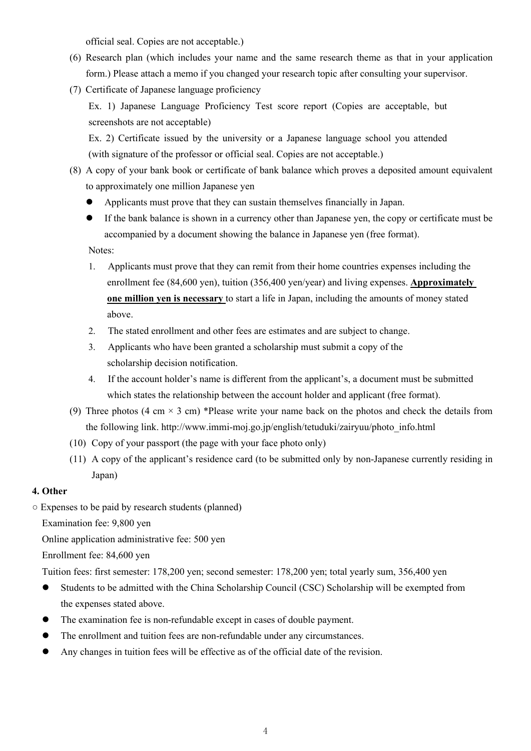official seal. Copies are not acceptable.)

- (6) Research plan (which includes your name and the same research theme as that in your application form.) Please attach a memo if you changed your research topic after consulting your supervisor.
- (7) Certificate of Japanese language proficiency

Ex. 1) Japanese Language Proficiency Test score report (Copies are acceptable, but screenshots are not acceptable)

Ex. 2) Certificate issued by the university or a Japanese language school you attended (with signature of the professor or official seal. Copies are not acceptable.)

- (8) A copy of your bank book or certificate of bank balance which proves a deposited amount equivalent to approximately one million Japanese yen
	- Applicants must prove that they can sustain themselves financially in Japan.
	- If the bank balance is shown in a currency other than Japanese yen, the copy or certificate must be accompanied by a document showing the balance in Japanese yen (free format).

Notes:

- 1. Applicants must prove that they can remit from their home countries expenses including the enrollment fee (84,600 yen), tuition (356,400 yen/year) and living expenses. **Approximately one million yen is necessary** to start a life in Japan, including the amounts of money stated above.
- 2. The stated enrollment and other fees are estimates and are subject to change.
- 3. Applicants who have been granted a scholarship must submit a copy of the scholarship decision notification.
- 4. If the account holder's name is different from the applicant's, a document must be submitted which states the relationship between the account holder and applicant (free format).
- (9) Three photos (4 cm  $\times$  3 cm) \*Please write your name back on the photos and check the details from the following link. http://www.immi-moj.go.jp/english/tetuduki/zairyuu/photo\_info.html
- (10) Copy of your passport (the page with your face photo only)
- (11) A copy of the applicant's residence card (to be submitted only by non-Japanese currently residing in Japan)

## **4. Other**

○ Expenses to be paid by research students (planned)

Examination fee: 9,800 yen

Online application administrative fee: 500 yen

Enrollment fee: 84,600 yen

Tuition fees: first semester: 178,200 yen; second semester: 178,200 yen; total yearly sum, 356,400 yen

- Students to be admitted with the China Scholarship Council (CSC) Scholarship will be exempted from the expenses stated above.
- The examination fee is non-refundable except in cases of double payment.
- The enrollment and tuition fees are non-refundable under any circumstances.
- Any changes in tuition fees will be effective as of the official date of the revision.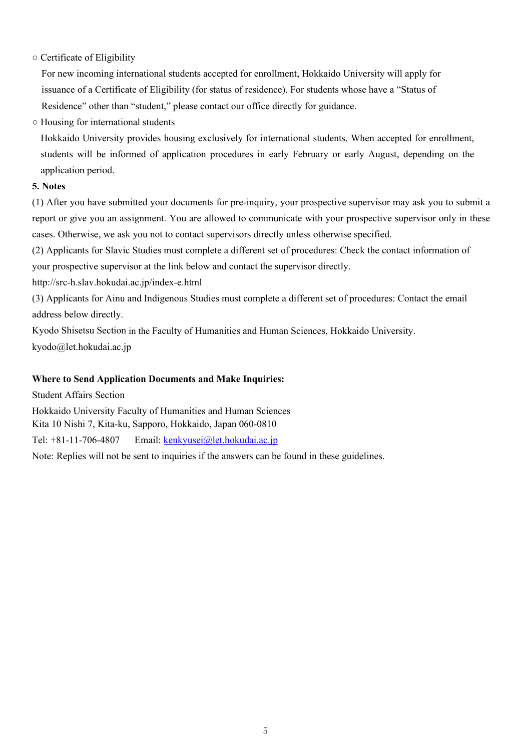## ○ Certificate of Eligibility

For new incoming international students accepted for enrollment, Hokkaido University will apply for issuance of a Certificate of Eligibility (for status of residence). For students whose have a "Status of Residence" other than "student," please contact our office directly for guidance.

○ Housing for international students

Hokkaido University provides housing exclusively for international students. When accepted for enrollment, students will be informed of application procedures in early February or early August, depending on the application period.

## **5. Notes**

(1) After you have submitted your documents for pre-inquiry, your prospective supervisor may ask you to submit a report or give you an assignment. You are allowed to communicate with your prospective supervisor only in these cases. Otherwise, we ask you not to contact supervisors directly unless otherwise specified.

(2) Applicants for Slavic Studies must complete a different set of procedures: Check the contact information of your prospective supervisor at the link below and contact the supervisor directly.

http://src-h.slav.hokudai.ac.jp/index-e.html

(3) Applicants for Ainu and Indigenous Studies must complete a different set of procedures: Contact the email address below directly.

Kyodo Shisetsu Section in the Faculty of Humanities and Human Sciences, Hokkaido University.

kyodo@let.hokudai.ac.jp

## **Where to Send Application Documents and Make Inquiries:**

Student Affairs Section Hokkaido University Faculty of Humanities and Human Sciences Kita 10 Nishi 7, Kita-ku, Sapporo, Hokkaido, Japan 060-0810 Tel: +81-11-706-4807 Email: [kenkyusei@let.hokudai.ac.jp](mailto:kenkyusei@let.hokudai.ac.jp)

Note: Replies will not be sent to inquiries if the answers can be found in these guidelines.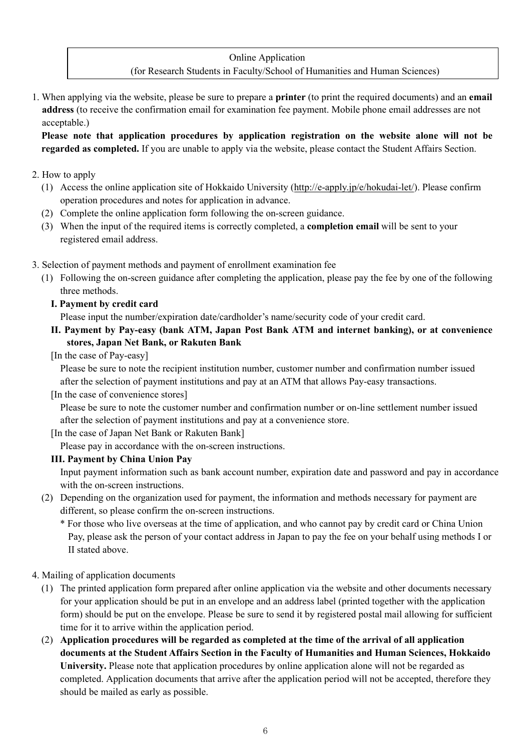## Online Application

## (for Research Students in Faculty/School of Humanities and Human Sciences)

1. When applying via the website, please be sure to prepare a **printer** (to print the required documents) and an **email address** (to receive the confirmation email for examination fee payment. Mobile phone email addresses are not acceptable.)

**Please note that application procedures by application registration on the website alone will not be regarded as completed.** If you are unable to apply via the website, please contact the Student Affairs Section.

### 2. How to apply

- (1) Access the online application site of Hokkaido University [\(http://e-apply.jp/e/hokudai-let/\)](http://e-apply.jp/e/hokudai-let/). Please confirm operation procedures and notes for application in advance.
- (2) Complete the online application form following the on-screen guidance.
- (3) When the input of the required items is correctly completed, a **completion email** will be sent to your registered email address.
- 3. Selection of payment methods and payment of enrollment examination fee
	- (1) Following the on-screen guidance after completing the application, please pay the fee by one of the following three methods.

### **I. Payment by credit card**

Please input the number/expiration date/cardholder's name/security code of your credit card.

**II. Payment by Pay-easy (bank ATM, Japan Post Bank ATM and internet banking), or at convenience stores, Japan Net Bank, or Rakuten Bank**

[In the case of Pay-easy]

Please be sure to note the recipient institution number, customer number and confirmation number issued after the selection of payment institutions and pay at an ATM that allows Pay-easy transactions.

[In the case of convenience stores]

Please be sure to note the customer number and confirmation number or on-line settlement number issued after the selection of payment institutions and pay at a convenience store.

[In the case of Japan Net Bank or Rakuten Bank]

Please pay in accordance with the on-screen instructions.

## **III. Payment by China Union Pay**

Input payment information such as bank account number, expiration date and password and pay in accordance with the on-screen instructions.

(2) Depending on the organization used for payment, the information and methods necessary for payment are different, so please confirm the on-screen instructions.

\* For those who live overseas at the time of application, and who cannot pay by credit card or China Union Pay, please ask the person of your contact address in Japan to pay the fee on your behalf using methods I or II stated above.

- 4. Mailing of application documents
	- (1) The printed application form prepared after online application via the website and other documents necessary for your application should be put in an envelope and an address label (printed together with the application form) should be put on the envelope. Please be sure to send it by registered postal mail allowing for sufficient time for it to arrive within the application period.
	- (2) **Application procedures will be regarded as completed at the time of the arrival of all application documents at the Student Affairs Section in the Faculty of Humanities and Human Sciences, Hokkaido University.** Please note that application procedures by online application alone will not be regarded as completed. Application documents that arrive after the application period will not be accepted, therefore they should be mailed as early as possible.